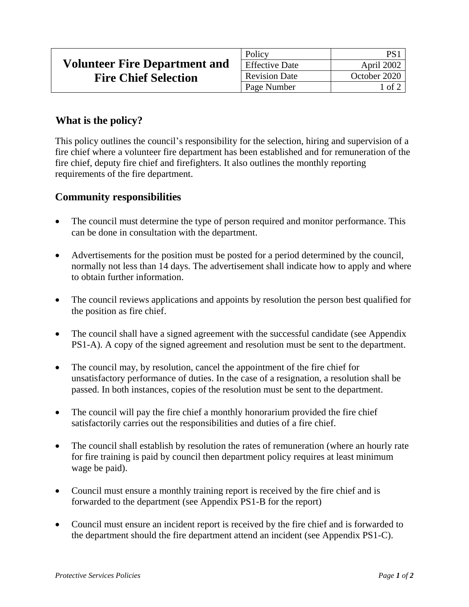|                                      | Policy                |              |
|--------------------------------------|-----------------------|--------------|
| <b>Volunteer Fire Department and</b> | <b>Effective Date</b> | April 2002   |
| <b>Fire Chief Selection</b>          | <b>Revision Date</b>  | October 2020 |
|                                      | Page Number           | 1 of 2       |

## **What is the policy?**

This policy outlines the council's responsibility for the selection, hiring and supervision of a fire chief where a volunteer fire department has been established and for remuneration of the fire chief, deputy fire chief and firefighters. It also outlines the monthly reporting requirements of the fire department.

## **Community responsibilities**

- The council must determine the type of person required and monitor performance. This can be done in consultation with the department.
- Advertisements for the position must be posted for a period determined by the council, normally not less than 14 days. The advertisement shall indicate how to apply and where to obtain further information.
- The council reviews applications and appoints by resolution the person best qualified for the position as fire chief.
- The council shall have a signed agreement with the successful candidate (see Appendix PS1-A). A copy of the signed agreement and resolution must be sent to the department.
- The council may, by resolution, cancel the appointment of the fire chief for unsatisfactory performance of duties. In the case of a resignation, a resolution shall be passed. In both instances, copies of the resolution must be sent to the department.
- The council will pay the fire chief a monthly honorarium provided the fire chief satisfactorily carries out the responsibilities and duties of a fire chief.
- The council shall establish by resolution the rates of remuneration (where an hourly rate for fire training is paid by council then department policy requires at least minimum wage be paid).
- Council must ensure a monthly training report is received by the fire chief and is forwarded to the department (see Appendix PS1-B for the report)
- Council must ensure an incident report is received by the fire chief and is forwarded to the department should the fire department attend an incident (see Appendix PS1-C).